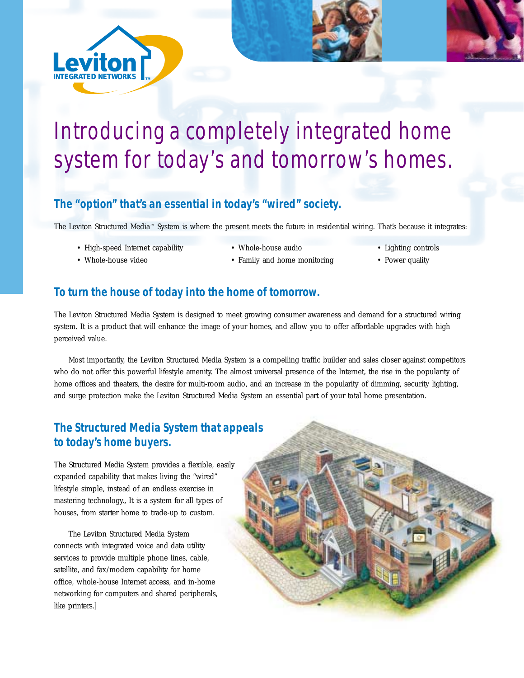

# Introducing a completely integrated home system for today's and tomorrow's homes.

## **The "option" that's an essential in today's "wired" society.**

The Leviton Structured Media™ System is where the present meets the future in residential wiring. That's because it integrates:

- High-speed Internet capability Whole-house audio Lighting controls
- 
- 
- Whole-house video • Family and home monitoring Power quality
- 
- 

#### **To turn the house of today into the home of tomorrow.**

The Leviton Structured Media System is designed to meet growing consumer awareness and demand for a structured wiring system. It is a product that will enhance the image of your homes, and allow you to offer affordable upgrades with high perceived value.

Most importantly, the Leviton Structured Media System is a compelling traffic builder and sales closer against competitors who do not offer this powerful lifestyle amenity. The almost universal presence of the Internet, the rise in the popularity of home offices and theaters, the desire for multi-room audio, and an increase in the popularity of dimming, security lighting, and surge protection make the Leviton Structured Media System an essential part of your total home presentation.

## **The Structured Media System that appeals to today's home buyers.**

The Structured Media System provides a flexible, easily expanded capability that makes living the "wired" lifestyle simple, instead of an endless exercise in mastering technology., It is a system for all types of houses, from starter home to trade-up to custom.

The Leviton Structured Media System connects with integrated voice and data utility services to provide multiple phone lines, cable, satellite, and fax/modem capability for home office, whole-house Internet access, and in-home networking for computers and shared peripherals, like printers.]